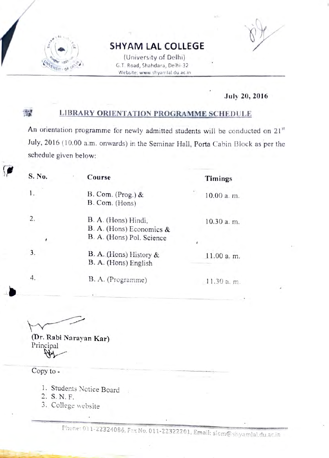

#### SHYAM LAL COLLEGE

(University of Delhi) G.T. Road, Shahdara, Delhi-32 Website: www.shyamlal.du.ac.in

#### July 20, 2016

#### LIBRARY ORIENTATION PROGRAMME SCHEDULE  $\mathcal{P}^{\text{out}}_{\text{max}}$

An orientation programme for newly admitted students will be conducted on 21<sup>st</sup> July, 2016 (10.00 a.m. onwards) in the Seminar Hall, Porta Cabin Block as per the schedule given below:

| S. No. | Course                                                                       | Timings                  |
|--------|------------------------------------------------------------------------------|--------------------------|
|        | B. Com. $(Prog.)$ &<br>B. Com. (Hons)                                        | 10.00 a.m.               |
| 2.     | B. A. (Hons) Hindi,<br>B. A. (Hons) Economics &<br>B. A. (Hons) Pol. Science | 10.30 a. m.              |
| 3.     | B. A. (Hons) History &<br>B. A. (Hons) English                               | $\epsilon$<br>11.00 a.m. |
| 4.     | B. A. (Programme)                                                            | 11.30 a.m.               |

(Dr. Rabi Narayan Kar) Principal

Copy to

- 1. Studerts Notice Board
- 2. S. N. F.
- 3. College website

Phone: 011-22324086, Fax No. 011-22322201, Email: slcm@shyamlal.du.ac.in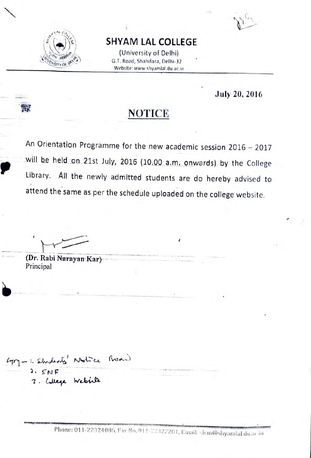

### SHYAM LAL COLLEGE

(University of Delhi) Stry of  $\alpha$  G.T. Road, Shahdara, Delhi-32 Website: www.shyamlal.du.ac.in

July 20, 2016

## **NOTICE**

An Orientation Programme for the new academic session 2016 - 2017 will be held on 21st July, 2016 (10.00 a.m. onwards) by the College Library. All the newly admitted students are do hereby advised to attend the same as per the schedule uploaded on the college website.

(Dr. Rabi Narayan Kar) Principal

2. SNF 2. Wege website